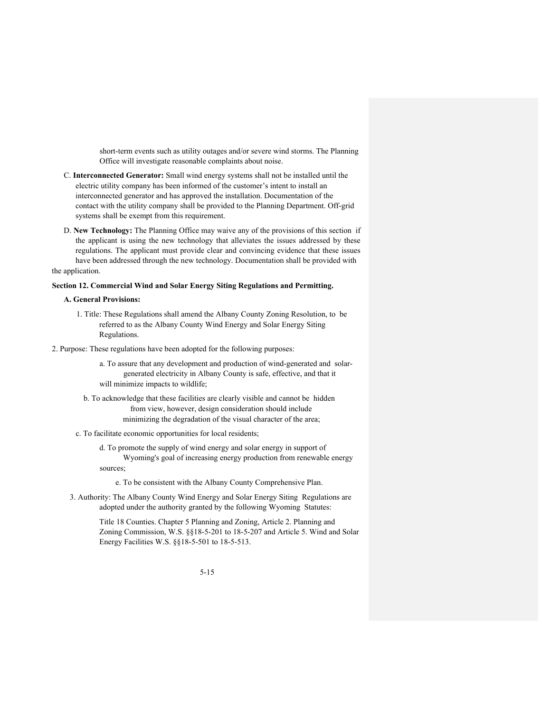short-term events such as utility outages and/or severe wind storms. The Planning Office will investigate reasonable complaints about noise.

- C. **Interconnected Generator:** Small wind energy systems shall not be installed until the electric utility company has been informed of the customer's intent to install an interconnected generator and has approved the installation. Documentation of the contact with the utility company shall be provided to the Planning Department. Off-grid systems shall be exempt from this requirement.
- D. **New Technology:** The Planning Office may waive any of the provisions of this section if the applicant is using the new technology that alleviates the issues addressed by these regulations. The applicant must provide clear and convincing evidence that these issues have been addressed through the new technology. Documentation shall be provided with the application.

# **Section 12. Commercial Wind and Solar Energy Siting Regulations and Permitting.**

#### **A. General Provisions:**

- 1. Title: These Regulations shall amend the Albany County Zoning Resolution, to be referred to as the Albany County Wind Energy and Solar Energy Siting Regulations.
- 2. Purpose: These regulations have been adopted for the following purposes:
	- a. To assure that any development and production of wind-generated and solargenerated electricity in Albany County is safe, effective, and that it will minimize impacts to wildlife;
	- b. To acknowledge that these facilities are clearly visible and cannot be hidden from view, however, design consideration should include minimizing the degradation of the visual character of the area;
	- c. To facilitate economic opportunities for local residents;
		- d. To promote the supply of wind energy and solar energy in support of Wyoming's goal of increasing energy production from renewable energy sources;

e. To be consistent with the Albany County Comprehensive Plan.

3. Authority: The Albany County Wind Energy and Solar Energy Siting Regulations are adopted under the authority granted by the following Wyoming Statutes:

> Title 18 Counties. Chapter 5 Planning and Zoning, Article 2. Planning and Zoning Commission, W.S. §§18-5-201 to 18-5-207 and Article 5. Wind and Solar Energy Facilities W.S. §§18-5-501 to 18-5-513.

> > 5-15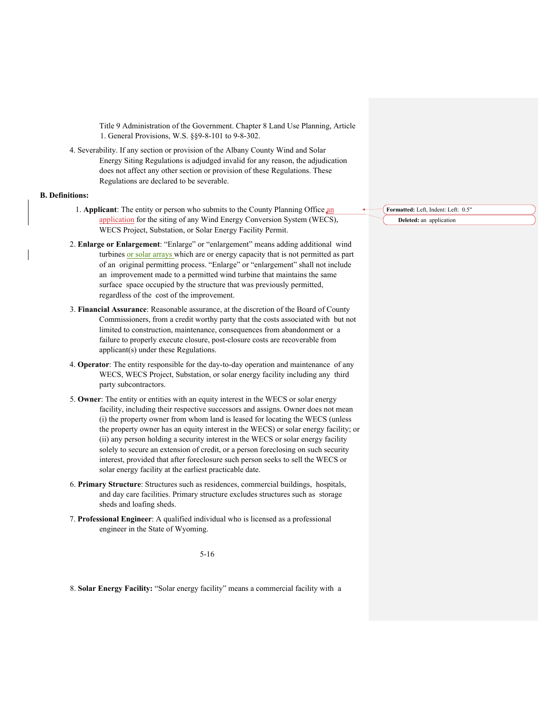Title 9 Administration of the Government. Chapter 8 Land Use Planning, Article 1. General Provisions, W.S. §§9-8-101 to 9-8-302.

4. Severability. If any section or provision of the Albany County Wind and Solar Energy Siting Regulations is adjudged invalid for any reason, the adjudication does not affect any other section or provision of these Regulations. These Regulations are declared to be severable.

# **B. Definitions:**

- 1. **Applicant**: The entity or person who submits to the County Planning Office an application for the siting of any Wind Energy Conversion System (WECS), WECS Project, Substation, or Solar Energy Facility Permit.
- 2. **Enlarge or Enlargement**: "Enlarge" or "enlargement" means adding additional wind turbines or solar arrays which are or energy capacity that is not permitted as part of an original permitting process. "Enlarge" or "enlargement" shall not include an improvement made to a permitted wind turbine that maintains the same surface space occupied by the structure that was previously permitted, regardless of the cost of the improvement.
- 3. **Financial Assurance**: Reasonable assurance, at the discretion of the Board of County Commissioners, from a credit worthy party that the costs associated with but not limited to construction, maintenance, consequences from abandonment or a failure to properly execute closure, post-closure costs are recoverable from applicant(s) under these Regulations.
- 4. **Operator**: The entity responsible for the day-to-day operation and maintenance of any WECS, WECS Project, Substation, or solar energy facility including any third party subcontractors.
- 5. **Owner**: The entity or entities with an equity interest in the WECS or solar energy facility, including their respective successors and assigns. Owner does not mean (i) the property owner from whom land is leased for locating the WECS (unless the property owner has an equity interest in the WECS) or solar energy facility; or (ii) any person holding a security interest in the WECS or solar energy facility solely to secure an extension of credit, or a person foreclosing on such security interest, provided that after foreclosure such person seeks to sell the WECS or solar energy facility at the earliest practicable date.
- 6. **Primary Structure**: Structures such as residences, commercial buildings, hospitals, and day care facilities. Primary structure excludes structures such as storage sheds and loafing sheds.
- 7. **Professional Engineer**: A qualified individual who is licensed as a professional engineer in the State of Wyoming.

# 5-16

8. **Solar Energy Facility:** "Solar energy facility" means a commercial facility with a

**Formatted:** Left, Indent: Left: 0.5" **Deleted:** an application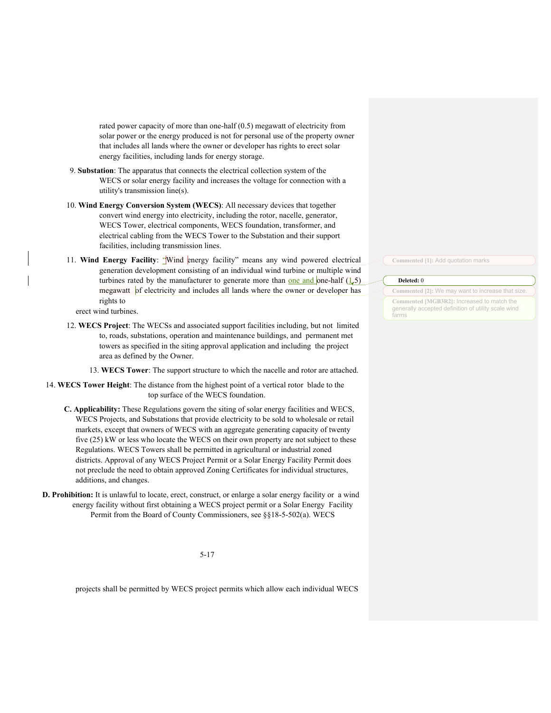rated power capacity of more than one-half (0.5) megawatt of electricity from solar power or the energy produced is not for personal use of the property owner that includes all lands where the owner or developer has rights to erect solar energy facilities, including lands for energy storage.

- 9. **Substation**: The apparatus that connects the electrical collection system of the WECS or solar energy facility and increases the voltage for connection with a utility's transmission line(s).
- 10. **Wind Energy Conversion System (WECS)**: All necessary devices that together convert wind energy into electricity, including the rotor, nacelle, generator, WECS Tower, electrical components, WECS foundation, transformer, and electrical cabling from the WECS Tower to the Substation and their support facilities, including transmission lines.
- 11. **Wind Energy Facility**: "Wind energy facility" means any wind powered electrical generation development consisting of an individual wind turbine or multiple wind turbines rated by the manufacturer to generate more than one and one-half  $(1.5)$ megawatt of electricity and includes all lands where the owner or developer has rights to
	- erect wind turbines.
- 12. **WECS Project**: The WECSs and associated support facilities including, but not limited to, roads, substations, operation and maintenance buildings, and permanent met towers as specified in the siting approval application and including the project area as defined by the Owner.
	- 13. **WECS Tower**: The support structure to which the nacelle and rotor are attached.
- 14. **WECS Tower Height**: The distance from the highest point of a vertical rotor blade to the top surface of the WECS foundation.
	- **C. Applicability:** These Regulations govern the siting of solar energy facilities and WECS, WECS Projects, and Substations that provide electricity to be sold to wholesale or retail markets, except that owners of WECS with an aggregate generating capacity of twenty five (25) kW or less who locate the WECS on their own property are not subject to these Regulations. WECS Towers shall be permitted in agricultural or industrial zoned districts. Approval of any WECS Project Permit or a Solar Energy Facility Permit does not preclude the need to obtain approved Zoning Certificates for individual structures, additions, and changes.
- **D. Prohibition:** It is unlawful to locate, erect, construct, or enlarge a solar energy facility or a wind energy facility without first obtaining a WECS project permit or a Solar Energy Facility Permit from the Board of County Commissioners, see §§18-5-502(a). WECS

5-17

projects shall be permitted by WECS project permits which allow each individual WECS

**Commented [1]:** Add quotation marks

# **Deleted:** 0

**Commented [2]:** We may want to increase that size. **Commented [MGB3R2]:** Increased to match the generally accepted definition of utility scale wind farms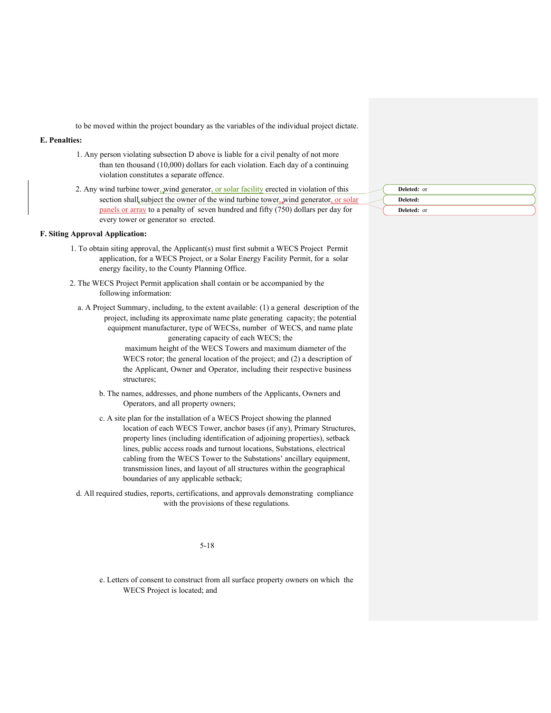to be moved within the project boundary as the variables of the individual project dictate.

# **E. Penalties:**

- 1. Any person violating subsection D above is liable for a civil penalty of not more than ten thousand (10,000) dollars for each violation. Each day of a continuing violation constitutes a separate offence.
- 2. Any wind turbine tower, wind generator, or solar facility erected in violation of this section shall subject the owner of the wind turbine tower, wind generator, or solar panels or array to a penalty of seven hundred and fifty (750) dollars per day for every tower or generator so erected.

### **F. Siting Approval Application:**

- 1. To obtain siting approval, the Applicant(s) must first submit a WECS Project Permit application, for a WECS Project, or a Solar Energy Facility Permit, for a solar energy facility, to the County Planning Office.
- 2. The WECS Project Permit application shall contain or be accompanied by the following information:
	- a. A Project Summary, including, to the extent available: (1) a general description of the project, including its approximate name plate generating capacity; the potential equipment manufacturer, type of WECSs, number of WECS, and name plate generating capacity of each WECS; the

maximum height of the WECS Towers and maximum diameter of the WECS rotor; the general location of the project; and (2) a description of the Applicant, Owner and Operator, including their respective business structures;

- b. The names, addresses, and phone numbers of the Applicants, Owners and Operators, and all property owners;
- c. A site plan for the installation of a WECS Project showing the planned location of each WECS Tower, anchor bases (if any), Primary Structures, property lines (including identification of adjoining properties), setback lines, public access roads and turnout locations, Substations, electrical cabling from the WECS Tower to the Substations' ancillary equipment, transmission lines, and layout of all structures within the geographical boundaries of any applicable setback;
- d. All required studies, reports, certifications, and approvals demonstrating compliance with the provisions of these regulations.

5-18

e. Letters of consent to construct from all surface property owners on which the WECS Project is located; and

| Deleted: or |
|-------------|
| Deleted:    |
| Deleted: or |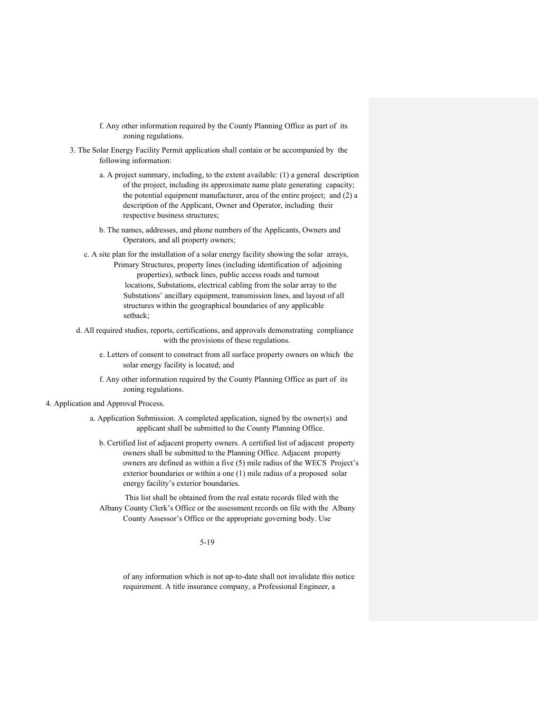- f. Any other information required by the County Planning Office as part of its zoning regulations.
- 3. The Solar Energy Facility Permit application shall contain or be accompanied by the following information:
	- a. A project summary, including, to the extent available: (1) a general description of the project, including its approximate name plate generating capacity; the potential equipment manufacturer, area of the entire project; and (2) a description of the Applicant, Owner and Operator, including their respective business structures;
	- b. The names, addresses, and phone numbers of the Applicants, Owners and Operators, and all property owners;
	- c. A site plan for the installation of a solar energy facility showing the solar arrays, Primary Structures, property lines (including identification of adjoining properties), setback lines, public access roads and turnout locations, Substations, electrical cabling from the solar array to the Substations' ancillary equipment, transmission lines, and layout of all structures within the geographical boundaries of any applicable setback;
	- d. All required studies, reports, certifications, and approvals demonstrating compliance with the provisions of these regulations.
		- e. Letters of consent to construct from all surface property owners on which the solar energy facility is located; and
		- f. Any other information required by the County Planning Office as part of its zoning regulations.
- 4. Application and Approval Process.
	- a. Application Submission. A completed application, signed by the owner(s) and applicant shall be submitted to the County Planning Office.
		- b. Certified list of adjacent property owners. A certified list of adjacent property owners shall be submitted to the Planning Office. Adjacent property owners are defined as within a five (5) mile radius of the WECS Project's exterior boundaries or within a one (1) mile radius of a proposed solar energy facility's exterior boundaries.

This list shall be obtained from the real estate records filed with the Albany County Clerk's Office or the assessment records on file with the Albany County Assessor's Office or the appropriate governing body. Use

5-19

of any information which is not up-to-date shall not invalidate this notice requirement. A title insurance company, a Professional Engineer, a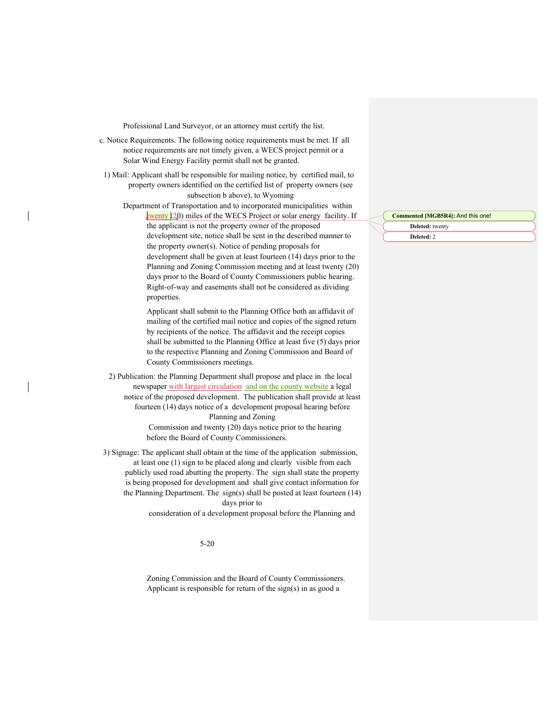Professional Land Surveyor, or an attorney must certify the list.

- c. Notice Requirements. The following notice requirements must be met. If all notice requirements are not timely given, a WECS project permit or a Solar Wind Energy Facility permit shall not be granted.
- 1) Mail: Applicant shall be responsible for mailing notice, by certified mail, to property owners identified on the certified list of property owners (see subsection b above), to Wyoming

Department of Transportation and to incorporated municipalities within twenty (20) miles of the WECS Project or solar energy facility. If the applicant is not the property owner of the proposed development site, notice shall be sent in the described manner to the property owner(s). Notice of pending proposals for development shall be given at least fourteen (14) days prior to the Planning and Zoning Commission meeting and at least twenty (20) days prior to the Board of County Commissioners public hearing. Right-of-way and easements shall not be considered as dividing properties.

Applicant shall submit to the Planning Office both an affidavit of mailing of the certified mail notice and copies of the signed return by recipients of the notice. The affidavit and the receipt copies shall be submitted to the Planning Office at least five (5) days prior to the respective Planning and Zoning Commission and Board of County Commissioners meetings.

2) Publication: the Planning Department shall propose and place in the local newspaper with largest circulation and on the county website a legal notice of the proposed development. The publication shall provide at least fourteen (14) days notice of a development proposal hearing before Planning and Zoning

> Commission and twenty (20) days notice prior to the hearing before the Board of County Commissioners.

3) Signage: The applicant shall obtain at the time of the application submission, at least one (1) sign to be placed along and clearly visible from each publicly used road abutting the property. The sign shall state the property is being proposed for development and shall give contact information for the Planning Department. The sign(s) shall be posted at least fourteen (14) days prior to

consideration of a development proposal before the Planning and

5-20

Zoning Commission and the Board of County Commissioners. Applicant is responsible for return of the sign(s) in as good a

#### **Commented [MGB5R4]:** And this one!

**Deleted:** twenty **Deleted:** 2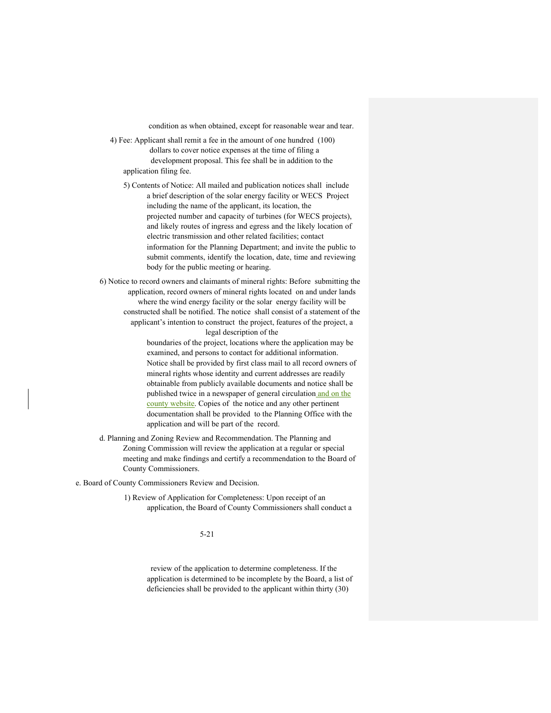condition as when obtained, except for reasonable wear and tear.

- 4) Fee: Applicant shall remit a fee in the amount of one hundred (100) dollars to cover notice expenses at the time of filing a development proposal. This fee shall be in addition to the application filing fee.
	- 5) Contents of Notice: All mailed and publication notices shall include a brief description of the solar energy facility or WECS Project including the name of the applicant, its location, the projected number and capacity of turbines (for WECS projects), and likely routes of ingress and egress and the likely location of electric transmission and other related facilities; contact information for the Planning Department; and invite the public to submit comments, identify the location, date, time and reviewing body for the public meeting or hearing.
- 6) Notice to record owners and claimants of mineral rights: Before submitting the application, record owners of mineral rights located on and under lands where the wind energy facility or the solar energy facility will be constructed shall be notified. The notice shall consist of a statement of the applicant's intention to construct the project, features of the project, a legal description of the

boundaries of the project, locations where the application may be examined, and persons to contact for additional information. Notice shall be provided by first class mail to all record owners of mineral rights whose identity and current addresses are readily obtainable from publicly available documents and notice shall be published twice in a newspaper of general circulation and on the county website. Copies of the notice and any other pertinent documentation shall be provided to the Planning Office with the application and will be part of the record.

d. Planning and Zoning Review and Recommendation. The Planning and Zoning Commission will review the application at a regular or special meeting and make findings and certify a recommendation to the Board of County Commissioners.

e. Board of County Commissioners Review and Decision.

1) Review of Application for Completeness: Upon receipt of an application, the Board of County Commissioners shall conduct a

5-21

review of the application to determine completeness. If the application is determined to be incomplete by the Board, a list of deficiencies shall be provided to the applicant within thirty (30)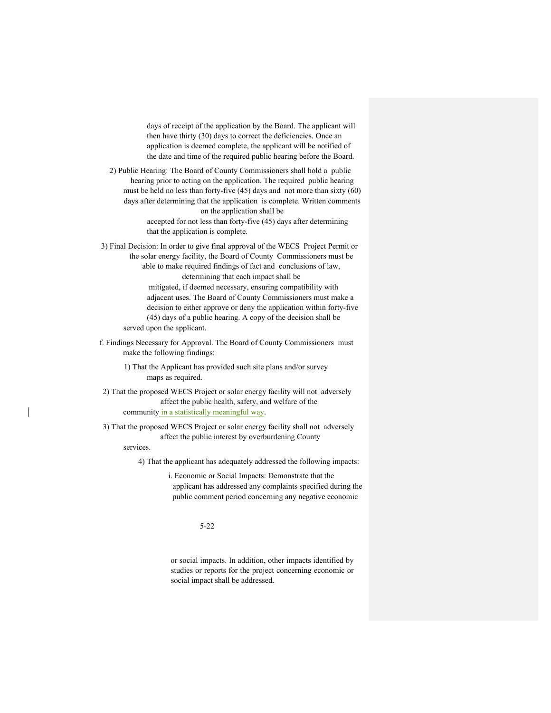days of receipt of the application by the Board. The applicant will then have thirty (30) days to correct the deficiencies. Once an application is deemed complete, the applicant will be notified of the date and time of the required public hearing before the Board.

2) Public Hearing: The Board of County Commissioners shall hold a public hearing prior to acting on the application. The required public hearing must be held no less than forty-five (45) days and not more than sixty (60) days after determining that the application is complete. Written comments on the application shall be

> accepted for not less than forty-five (45) days after determining that the application is complete.

3) Final Decision: In order to give final approval of the WECS Project Permit or the solar energy facility, the Board of County Commissioners must be able to make required findings of fact and conclusions of law, determining that each impact shall be

mitigated, if deemed necessary, ensuring compatibility with adjacent uses. The Board of County Commissioners must make a decision to either approve or deny the application within forty-five (45) days of a public hearing. A copy of the decision shall be served upon the applicant.

f. Findings Necessary for Approval. The Board of County Commissioners must make the following findings:

1) That the Applicant has provided such site plans and/or survey maps as required.

2) That the proposed WECS Project or solar energy facility will not adversely affect the public health, safety, and welfare of the community in a statistically meaningful way.

3) That the proposed WECS Project or solar energy facility shall not adversely affect the public interest by overburdening County

services.

4) That the applicant has adequately addressed the following impacts:

i. Economic or Social Impacts: Demonstrate that the applicant has addressed any complaints specified during the public comment period concerning any negative economic

5-22

or social impacts. In addition, other impacts identified by studies or reports for the project concerning economic or social impact shall be addressed.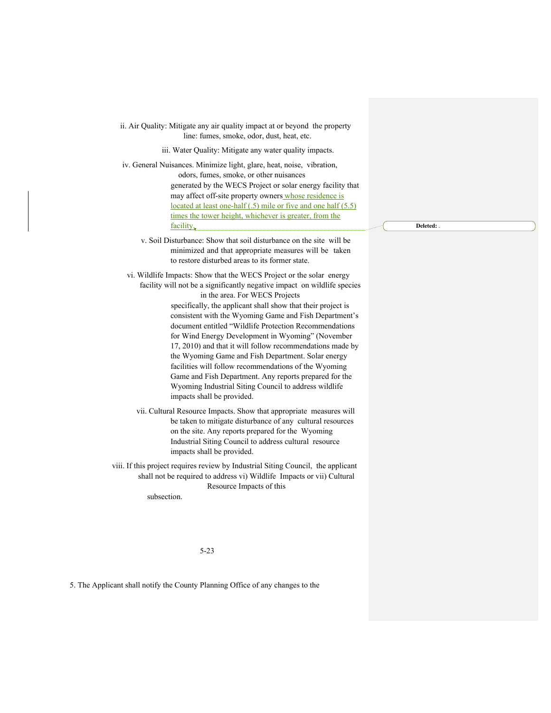| ii. Air Quality: Mitigate any air quality impact at or beyond the property<br>line: fumes, smoke, odor, dust, heat, etc.                                                                                                                                                                                                                                                                                                                                                                                                                                                                                                                                                                                                                                 |  |
|----------------------------------------------------------------------------------------------------------------------------------------------------------------------------------------------------------------------------------------------------------------------------------------------------------------------------------------------------------------------------------------------------------------------------------------------------------------------------------------------------------------------------------------------------------------------------------------------------------------------------------------------------------------------------------------------------------------------------------------------------------|--|
| iii. Water Quality: Mitigate any water quality impacts.                                                                                                                                                                                                                                                                                                                                                                                                                                                                                                                                                                                                                                                                                                  |  |
| iv. General Nuisances. Minimize light, glare, heat, noise, vibration,<br>odors, fumes, smoke, or other nuisances<br>generated by the WECS Project or solar energy facility that<br>may affect off-site property owners whose residence is<br>located at least one-half (.5) mile or five and one half (5.5)<br>times the tower height, whichever is greater, from the<br>facility.                                                                                                                                                                                                                                                                                                                                                                       |  |
| v. Soil Disturbance: Show that soil disturbance on the site will be<br>minimized and that appropriate measures will be taken<br>to restore disturbed areas to its former state.                                                                                                                                                                                                                                                                                                                                                                                                                                                                                                                                                                          |  |
| vi. Wildlife Impacts: Show that the WECS Project or the solar energy<br>facility will not be a significantly negative impact on wildlife species<br>in the area. For WECS Projects<br>specifically, the applicant shall show that their project is<br>consistent with the Wyoming Game and Fish Department's<br>document entitled "Wildlife Protection Recommendations<br>for Wind Energy Development in Wyoming" (November<br>17, 2010) and that it will follow recommendations made by<br>the Wyoming Game and Fish Department. Solar energy<br>facilities will follow recommendations of the Wyoming<br>Game and Fish Department. Any reports prepared for the<br>Wyoming Industrial Siting Council to address wildlife<br>impacts shall be provided. |  |
| vii. Cultural Resource Impacts. Show that appropriate measures will<br>be taken to mitigate disturbance of any cultural resources<br>on the site. Any reports prepared for the Wyoming<br>Industrial Siting Council to address cultural resource<br>impacts shall be provided.                                                                                                                                                                                                                                                                                                                                                                                                                                                                           |  |
| viii. If this project requires review by Industrial Siting Council, the applicant<br>shall not be required to address vi) Wildlife Impacts or vii) Cultural<br>Resource Impacts of this<br>subsection.                                                                                                                                                                                                                                                                                                                                                                                                                                                                                                                                                   |  |
|                                                                                                                                                                                                                                                                                                                                                                                                                                                                                                                                                                                                                                                                                                                                                          |  |

**Deleted:** .

5-23

5. The Applicant shall notify the County Planning Office of any changes to the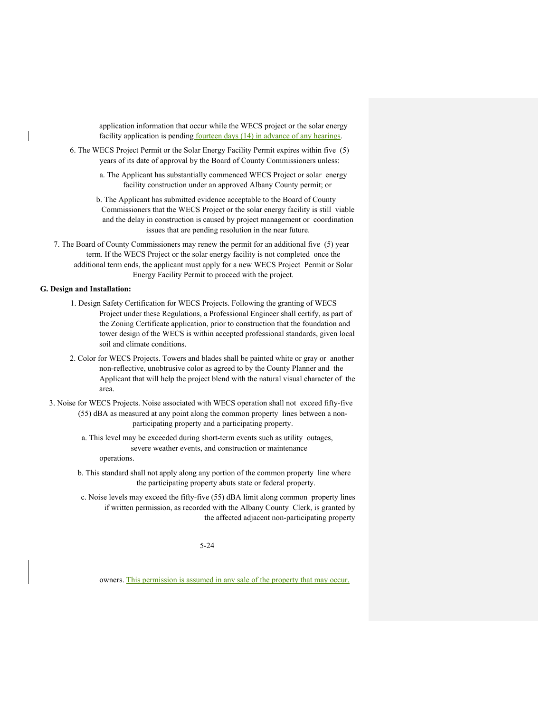application information that occur while the WECS project or the solar energy facility application is pending fourteen days (14) in advance of any hearings.

- 6. The WECS Project Permit or the Solar Energy Facility Permit expires within five (5) years of its date of approval by the Board of County Commissioners unless:
	- a. The Applicant has substantially commenced WECS Project or solar energy facility construction under an approved Albany County permit; or
	- b. The Applicant has submitted evidence acceptable to the Board of County Commissioners that the WECS Project or the solar energy facility is still viable and the delay in construction is caused by project management or coordination issues that are pending resolution in the near future.
- 7. The Board of County Commissioners may renew the permit for an additional five (5) year term. If the WECS Project or the solar energy facility is not completed once the additional term ends, the applicant must apply for a new WECS Project Permit or Solar Energy Facility Permit to proceed with the project.

## **G. Design and Installation:**

- 1. Design Safety Certification for WECS Projects. Following the granting of WECS Project under these Regulations, a Professional Engineer shall certify, as part of the Zoning Certificate application, prior to construction that the foundation and tower design of the WECS is within accepted professional standards, given local soil and climate conditions.
- 2. Color for WECS Projects. Towers and blades shall be painted white or gray or another non-reflective, unobtrusive color as agreed to by the County Planner and the Applicant that will help the project blend with the natural visual character of the area.
- 3. Noise for WECS Projects. Noise associated with WECS operation shall not exceed fifty-five (55) dBA as measured at any point along the common property lines between a nonparticipating property and a participating property.
	- a. This level may be exceeded during short-term events such as utility outages, severe weather events, and construction or maintenance

operations.

- b. This standard shall not apply along any portion of the common property line where the participating property abuts state or federal property.
- c. Noise levels may exceed the fifty-five (55) dBA limit along common property lines if written permission, as recorded with the Albany County Clerk, is granted by the affected adjacent non-participating property

5-24

owners. This permission is assumed in any sale of the property that may occur.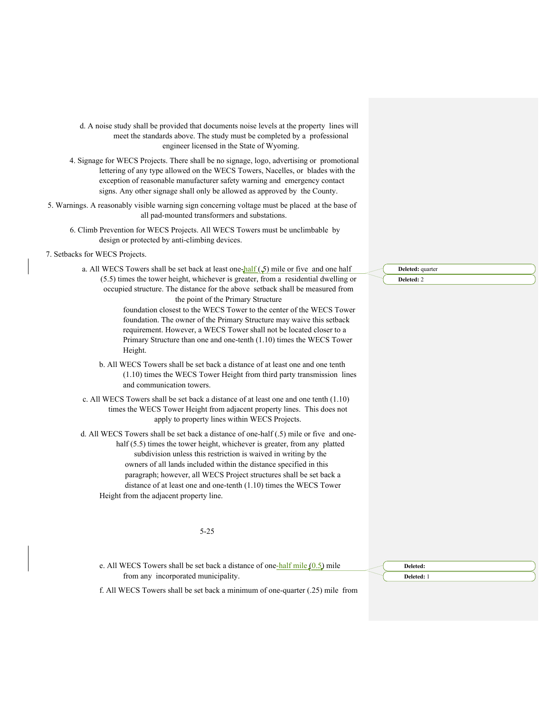d. A noise study shall be provided that documents noise levels at the property lines will meet the standards above. The study must be completed by a professional engineer licensed in the State of Wyoming.

4. Signage for WECS Projects. There shall be no signage, logo, advertising or promotional lettering of any type allowed on the WECS Towers, Nacelles, or blades with the exception of reasonable manufacturer safety warning and emergency contact signs. Any other signage shall only be allowed as approved by the County.

- 5. Warnings. A reasonably visible warning sign concerning voltage must be placed at the base of all pad-mounted transformers and substations.
	- 6. Climb Prevention for WECS Projects. All WECS Towers must be unclimbable by design or protected by anti-climbing devices.
- 7. Setbacks for WECS Projects.

a. All WECS Towers shall be set back at least one-half  $(5)$  mile or five and one half (5.5) times the tower height, whichever is greater, from a residential dwelling or occupied structure. The distance for the above setback shall be measured from the point of the Primary Structure

> foundation closest to the WECS Tower to the center of the WECS Tower foundation. The owner of the Primary Structure may waive this setback requirement. However, a WECS Tower shall not be located closer to a Primary Structure than one and one-tenth (1.10) times the WECS Tower Height.

- b. All WECS Towers shall be set back a distance of at least one and one tenth (1.10) times the WECS Tower Height from third party transmission lines and communication towers.
- c. All WECS Towers shall be set back a distance of at least one and one tenth (1.10) times the WECS Tower Height from adjacent property lines. This does not apply to property lines within WECS Projects.

d. All WECS Towers shall be set back a distance of one-half (.5) mile or five and onehalf (5.5) times the tower height, whichever is greater, from any platted subdivision unless this restriction is waived in writing by the owners of all lands included within the distance specified in this paragraph; however, all WECS Project structures shall be set back a distance of at least one and one-tenth (1.10) times the WECS Tower Height from the adjacent property line.

#### 5-25

e. All WECS Towers shall be set back a distance of one-half mile  $(0.5)$  mile from any incorporated municipality.

**Deleted: Deleted:** 1

**Deleted:** quarter **Deleted:** 2

f. All WECS Towers shall be set back a minimum of one-quarter (.25) mile from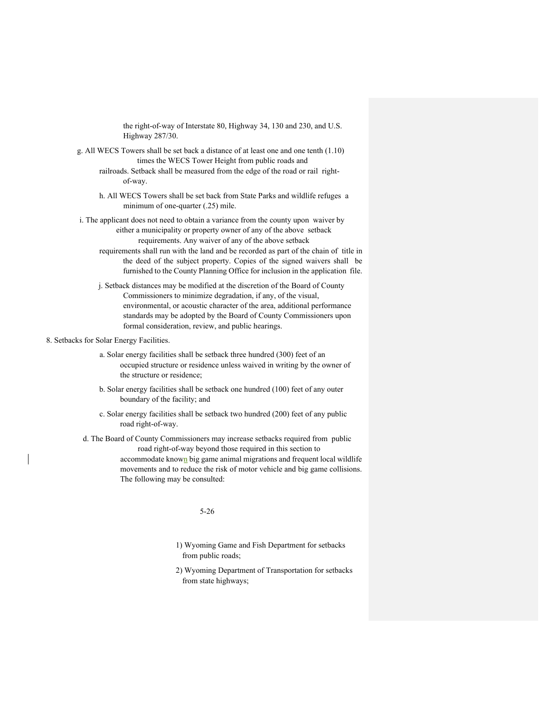the right-of-way of Interstate 80, Highway 34, 130 and 230, and U.S. Highway 287/30.

- g. All WECS Towers shall be set back a distance of at least one and one tenth (1.10) times the WECS Tower Height from public roads and railroads. Setback shall be measured from the edge of the road or rail rightof-way.
	- h. All WECS Towers shall be set back from State Parks and wildlife refuges a minimum of one-quarter (.25) mile.
- i. The applicant does not need to obtain a variance from the county upon waiver by either a municipality or property owner of any of the above setback requirements. Any waiver of any of the above setback
	- requirements shall run with the land and be recorded as part of the chain of title in the deed of the subject property. Copies of the signed waivers shall be furnished to the County Planning Office for inclusion in the application file.
	- j. Setback distances may be modified at the discretion of the Board of County Commissioners to minimize degradation, if any, of the visual, environmental, or acoustic character of the area, additional performance standards may be adopted by the Board of County Commissioners upon formal consideration, review, and public hearings.

## 8. Setbacks for Solar Energy Facilities.

- a. Solar energy facilities shall be setback three hundred (300) feet of an occupied structure or residence unless waived in writing by the owner of the structure or residence;
- b. Solar energy facilities shall be setback one hundred (100) feet of any outer boundary of the facility; and
- c. Solar energy facilities shall be setback two hundred (200) feet of any public road right-of-way.

d. The Board of County Commissioners may increase setbacks required from public road right-of-way beyond those required in this section to accommodate known big game animal migrations and frequent local wildlife movements and to reduce the risk of motor vehicle and big game collisions. The following may be consulted:

# 5-26

- 1) Wyoming Game and Fish Department for setbacks from public roads;
- 2) Wyoming Department of Transportation for setbacks from state highways;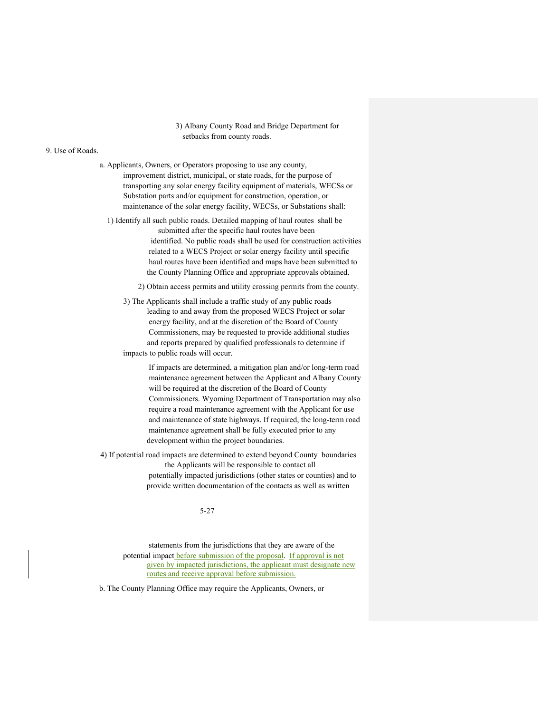3) Albany County Road and Bridge Department for setbacks from county roads.

#### 9. Use of Roads.

- a. Applicants, Owners, or Operators proposing to use any county, improvement district, municipal, or state roads, for the purpose of transporting any solar energy facility equipment of materials, WECSs or Substation parts and/or equipment for construction, operation, or maintenance of the solar energy facility, WECSs, or Substations shall:
	- 1) Identify all such public roads. Detailed mapping of haul routes shall be submitted after the specific haul routes have been identified. No public roads shall be used for construction activities related to a WECS Project or solar energy facility until specific haul routes have been identified and maps have been submitted to the County Planning Office and appropriate approvals obtained.
		- 2) Obtain access permits and utility crossing permits from the county.
		- 3) The Applicants shall include a traffic study of any public roads leading to and away from the proposed WECS Project or solar energy facility, and at the discretion of the Board of County Commissioners, may be requested to provide additional studies and reports prepared by qualified professionals to determine if impacts to public roads will occur.

If impacts are determined, a mitigation plan and/or long-term road maintenance agreement between the Applicant and Albany County will be required at the discretion of the Board of County Commissioners. Wyoming Department of Transportation may also require a road maintenance agreement with the Applicant for use and maintenance of state highways. If required, the long-term road maintenance agreement shall be fully executed prior to any development within the project boundaries.

4) If potential road impacts are determined to extend beyond County boundaries the Applicants will be responsible to contact all potentially impacted jurisdictions (other states or counties) and to provide written documentation of the contacts as well as written

# 5-27

statements from the jurisdictions that they are aware of the potential impact before submission of the proposal. If approval is not given by impacted jurisdictions, the applicant must designate new routes and receive approval before submission.

b. The County Planning Office may require the Applicants, Owners, or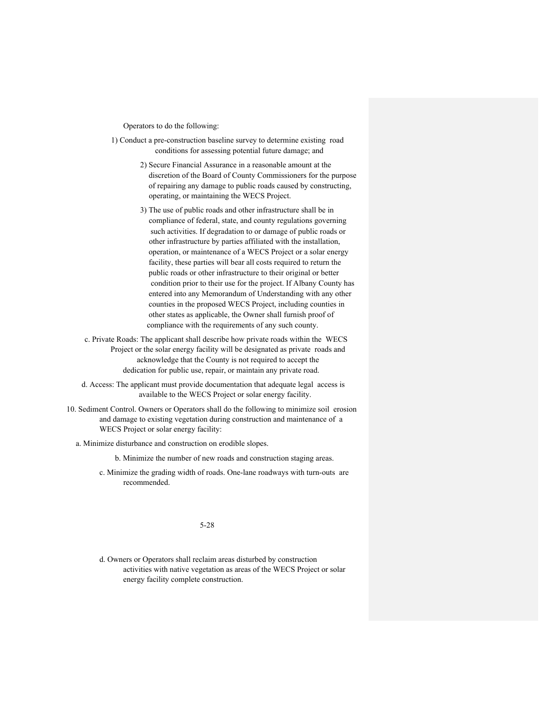Operators to do the following:

- 1) Conduct a pre-construction baseline survey to determine existing road conditions for assessing potential future damage; and
	- 2) Secure Financial Assurance in a reasonable amount at the discretion of the Board of County Commissioners for the purpose of repairing any damage to public roads caused by constructing, operating, or maintaining the WECS Project.
	- 3) The use of public roads and other infrastructure shall be in compliance of federal, state, and county regulations governing such activities. If degradation to or damage of public roads or other infrastructure by parties affiliated with the installation, operation, or maintenance of a WECS Project or a solar energy facility, these parties will bear all costs required to return the public roads or other infrastructure to their original or better condition prior to their use for the project. If Albany County has entered into any Memorandum of Understanding with any other counties in the proposed WECS Project, including counties in other states as applicable, the Owner shall furnish proof of compliance with the requirements of any such county.
- c. Private Roads: The applicant shall describe how private roads within the WECS Project or the solar energy facility will be designated as private roads and acknowledge that the County is not required to accept the dedication for public use, repair, or maintain any private road.
- d. Access: The applicant must provide documentation that adequate legal access is available to the WECS Project or solar energy facility.
- 10. Sediment Control. Owners or Operators shall do the following to minimize soil erosion and damage to existing vegetation during construction and maintenance of a WECS Project or solar energy facility:
	- a. Minimize disturbance and construction on erodible slopes.

b. Minimize the number of new roads and construction staging areas.

c. Minimize the grading width of roads. One-lane roadways with turn-outs are recommended.

5-28

d. Owners or Operators shall reclaim areas disturbed by construction activities with native vegetation as areas of the WECS Project or solar energy facility complete construction.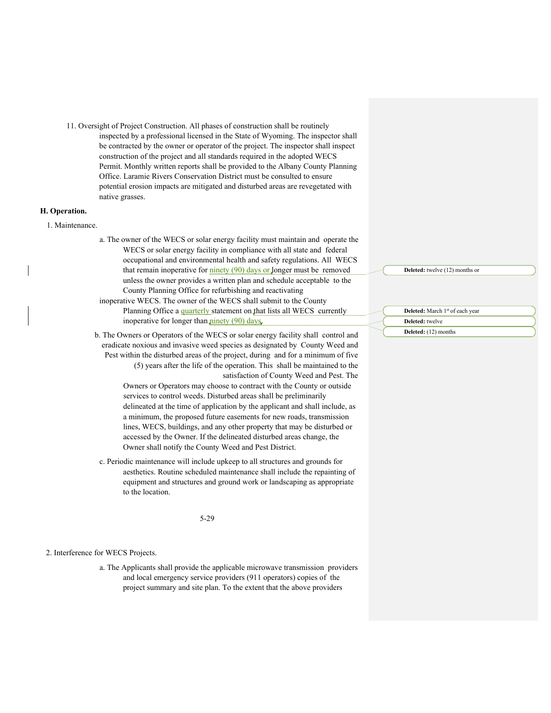11. Oversight of Project Construction. All phases of construction shall be routinely inspected by a professional licensed in the State of Wyoming. The inspector shall be contracted by the owner or operator of the project. The inspector shall inspect construction of the project and all standards required in the adopted WECS Permit. Monthly written reports shall be provided to the Albany County Planning Office. Laramie Rivers Conservation District must be consulted to ensure potential erosion impacts are mitigated and disturbed areas are revegetated with native grasses.

## **H. Operation.**

- 1. Maintenance.
- a. The owner of the WECS or solar energy facility must maintain and operate the WECS or solar energy facility in compliance with all state and federal occupational and environmental health and safety regulations. All WECS that remain inoperative for  $\frac{\text{ninger}}{90}$  days or longer must be removed unless the owner provides a written plan and schedule acceptable to the County Planning Office for refurbishing and reactivating
- inoperative WECS. The owner of the WECS shall submit to the County Planning Office a quarterly statement on that lists all WECS currently inoperative for longer than  $\frac{\text{pinety (90) days}}{\text{upity (90)}}$ .
- b. The Owners or Operators of the WECS or solar energy facility shall control and eradicate noxious and invasive weed species as designated by County Weed and Pest within the disturbed areas of the project, during and for a minimum of five (5) years after the life of the operation. This shall be maintained to the satisfaction of County Weed and Pest. The

Owners or Operators may choose to contract with the County or outside services to control weeds. Disturbed areas shall be preliminarily delineated at the time of application by the applicant and shall include, as a minimum, the proposed future easements for new roads, transmission lines, WECS, buildings, and any other property that may be disturbed or accessed by the Owner. If the delineated disturbed areas change, the Owner shall notify the County Weed and Pest District.

c. Periodic maintenance will include upkeep to all structures and grounds for aesthetics. Routine scheduled maintenance shall include the repainting of equipment and structures and ground work or landscaping as appropriate to the location.

5-29

#### 2. Interference for WECS Projects.

a. The Applicants shall provide the applicable microwave transmission providers and local emergency service providers (911 operators) copies of the project summary and site plan. To the extent that the above providers

**Deleted:** twelve (12) months or

**Deleted:** March 1st of each year

**Deleted:** twelve **Deleted:** (12) months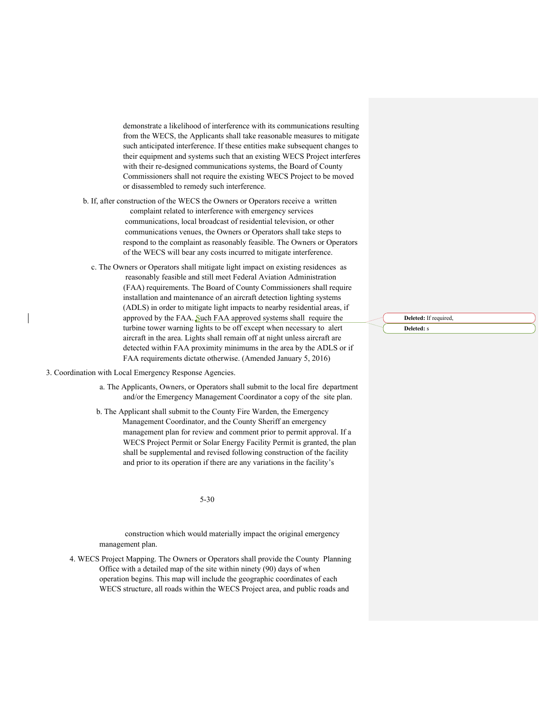demonstrate a likelihood of interference with its communications resulting from the WECS, the Applicants shall take reasonable measures to mitigate such anticipated interference. If these entities make subsequent changes to their equipment and systems such that an existing WECS Project interferes with their re-designed communications systems, the Board of County Commissioners shall not require the existing WECS Project to be moved or disassembled to remedy such interference.

b. If, after construction of the WECS the Owners or Operators receive a written complaint related to interference with emergency services communications, local broadcast of residential television, or other communications venues, the Owners or Operators shall take steps to respond to the complaint as reasonably feasible. The Owners or Operators of the WECS will bear any costs incurred to mitigate interference.

c. The Owners or Operators shall mitigate light impact on existing residences as reasonably feasible and still meet Federal Aviation Administration (FAA) requirements. The Board of County Commissioners shall require installation and maintenance of an aircraft detection lighting systems (ADLS) in order to mitigate light impacts to nearby residential areas, if approved by the FAA. Such FAA approved systems shall require the turbine tower warning lights to be off except when necessary to alert aircraft in the area. Lights shall remain off at night unless aircraft are detected within FAA proximity minimums in the area by the ADLS or if FAA requirements dictate otherwise. (Amended January 5, 2016)

3. Coordination with Local Emergency Response Agencies.

- a. The Applicants, Owners, or Operators shall submit to the local fire department and/or the Emergency Management Coordinator a copy of the site plan.
- b. The Applicant shall submit to the County Fire Warden, the Emergency Management Coordinator, and the County Sheriff an emergency management plan for review and comment prior to permit approval. If a WECS Project Permit or Solar Energy Facility Permit is granted, the plan shall be supplemental and revised following construction of the facility and prior to its operation if there are any variations in the facility's

5-30

construction which would materially impact the original emergency management plan.

4. WECS Project Mapping. The Owners or Operators shall provide the County Planning Office with a detailed map of the site within ninety (90) days of when operation begins. This map will include the geographic coordinates of each WECS structure, all roads within the WECS Project area, and public roads and

**Deleted:** If required, **Deleted:** s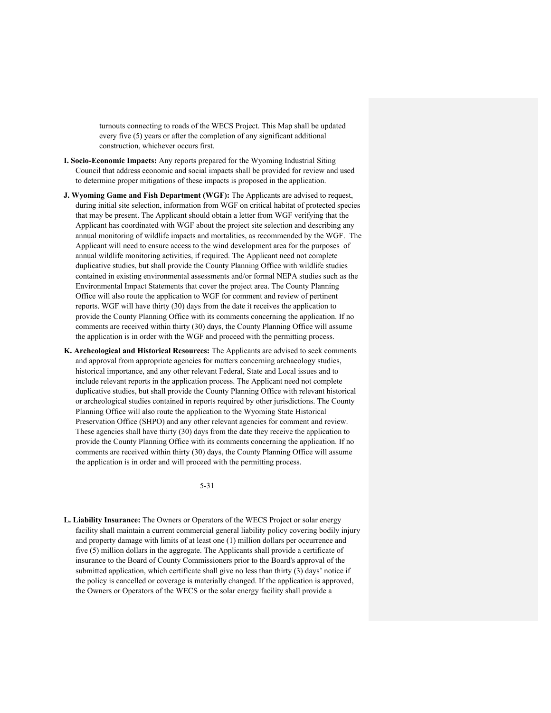turnouts connecting to roads of the WECS Project. This Map shall be updated every five (5) years or after the completion of any significant additional construction, whichever occurs first.

- **I. Socio-Economic Impacts:** Any reports prepared for the Wyoming Industrial Siting Council that address economic and social impacts shall be provided for review and used to determine proper mitigations of these impacts is proposed in the application.
- **J. Wyoming Game and Fish Department (WGF):** The Applicants are advised to request, during initial site selection, information from WGF on critical habitat of protected species that may be present. The Applicant should obtain a letter from WGF verifying that the Applicant has coordinated with WGF about the project site selection and describing any annual monitoring of wildlife impacts and mortalities, as recommended by the WGF. The Applicant will need to ensure access to the wind development area for the purposes of annual wildlife monitoring activities, if required. The Applicant need not complete duplicative studies, but shall provide the County Planning Office with wildlife studies contained in existing environmental assessments and/or formal NEPA studies such as the Environmental Impact Statements that cover the project area. The County Planning Office will also route the application to WGF for comment and review of pertinent reports. WGF will have thirty (30) days from the date it receives the application to provide the County Planning Office with its comments concerning the application. If no comments are received within thirty (30) days, the County Planning Office will assume the application is in order with the WGF and proceed with the permitting process.
- **K. Archeological and Historical Resources:** The Applicants are advised to seek comments and approval from appropriate agencies for matters concerning archaeology studies, historical importance, and any other relevant Federal, State and Local issues and to include relevant reports in the application process. The Applicant need not complete duplicative studies, but shall provide the County Planning Office with relevant historical or archeological studies contained in reports required by other jurisdictions. The County Planning Office will also route the application to the Wyoming State Historical Preservation Office (SHPO) and any other relevant agencies for comment and review. These agencies shall have thirty (30) days from the date they receive the application to provide the County Planning Office with its comments concerning the application. If no comments are received within thirty (30) days, the County Planning Office will assume the application is in order and will proceed with the permitting process.

5-31

**L. Liability Insurance:** The Owners or Operators of the WECS Project or solar energy facility shall maintain a current commercial general liability policy covering bodily injury and property damage with limits of at least one (1) million dollars per occurrence and five (5) million dollars in the aggregate. The Applicants shall provide a certificate of insurance to the Board of County Commissioners prior to the Board's approval of the submitted application, which certificate shall give no less than thirty (3) days' notice if the policy is cancelled or coverage is materially changed. If the application is approved, the Owners or Operators of the WECS or the solar energy facility shall provide a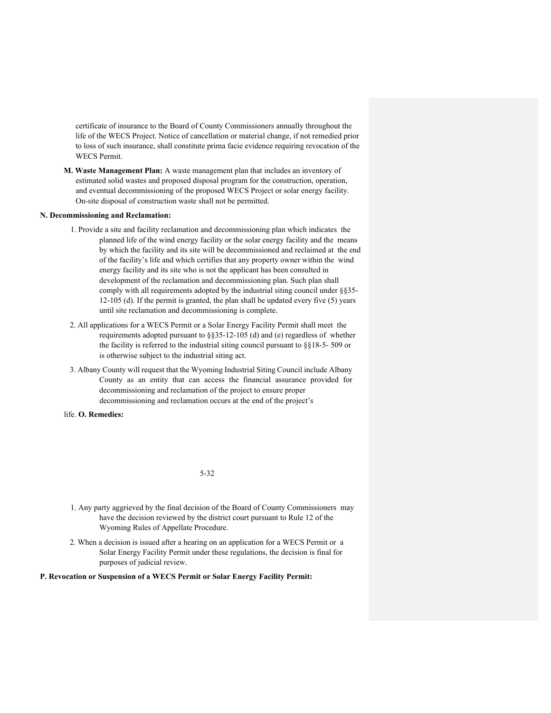certificate of insurance to the Board of County Commissioners annually throughout the life of the WECS Project. Notice of cancellation or material change, if not remedied prior to loss of such insurance, shall constitute prima facie evidence requiring revocation of the WECS Permit.

**M. Waste Management Plan:** A waste management plan that includes an inventory of estimated solid wastes and proposed disposal program for the construction, operation, and eventual decommissioning of the proposed WECS Project or solar energy facility. On-site disposal of construction waste shall not be permitted.

#### **N. Decommissioning and Reclamation:**

- 1. Provide a site and facility reclamation and decommissioning plan which indicates the planned life of the wind energy facility or the solar energy facility and the means by which the facility and its site will be decommissioned and reclaimed at the end of the facility's life and which certifies that any property owner within the wind energy facility and its site who is not the applicant has been consulted in development of the reclamation and decommissioning plan. Such plan shall comply with all requirements adopted by the industrial siting council under §§35- 12-105 (d). If the permit is granted, the plan shall be updated every five (5) years until site reclamation and decommissioning is complete.
- 2. All applications for a WECS Permit or a Solar Energy Facility Permit shall meet the requirements adopted pursuant to §§35-12-105 (d) and (e) regardless of whether the facility is referred to the industrial siting council pursuant to  $\S$ [18-5-509 or is otherwise subject to the industrial siting act.
- 3. Albany County will request that the Wyoming Industrial Siting Council include Albany County as an entity that can access the financial assurance provided for decommissioning and reclamation of the project to ensure proper decommissioning and reclamation occurs at the end of the project's
- life. **O. Remedies:**

#### 5-32

- 1. Any party aggrieved by the final decision of the Board of County Commissioners may have the decision reviewed by the district court pursuant to Rule 12 of the Wyoming Rules of Appellate Procedure.
- 2. When a decision is issued after a hearing on an application for a WECS Permit or a Solar Energy Facility Permit under these regulations, the decision is final for purposes of judicial review.

**P. Revocation or Suspension of a WECS Permit or Solar Energy Facility Permit:**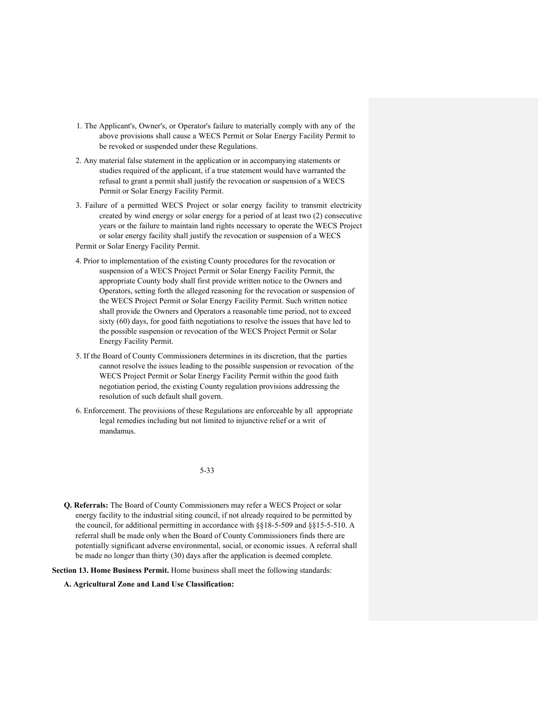- 1. The Applicant's, Owner's, or Operator's failure to materially comply with any of the above provisions shall cause a WECS Permit or Solar Energy Facility Permit to be revoked or suspended under these Regulations.
- 2. Any material false statement in the application or in accompanying statements or studies required of the applicant, if a true statement would have warranted the refusal to grant a permit shall justify the revocation or suspension of a WECS Permit or Solar Energy Facility Permit.
- 3. Failure of a permitted WECS Project or solar energy facility to transmit electricity created by wind energy or solar energy for a period of at least two (2) consecutive years or the failure to maintain land rights necessary to operate the WECS Project or solar energy facility shall justify the revocation or suspension of a WECS Permit or Solar Energy Facility Permit.
- 4. Prior to implementation of the existing County procedures for the revocation or suspension of a WECS Project Permit or Solar Energy Facility Permit, the appropriate County body shall first provide written notice to the Owners and Operators, setting forth the alleged reasoning for the revocation or suspension of the WECS Project Permit or Solar Energy Facility Permit. Such written notice shall provide the Owners and Operators a reasonable time period, not to exceed sixty (60) days, for good faith negotiations to resolve the issues that have led to the possible suspension or revocation of the WECS Project Permit or Solar Energy Facility Permit.
- 5. If the Board of County Commissioners determines in its discretion, that the parties cannot resolve the issues leading to the possible suspension or revocation of the WECS Project Permit or Solar Energy Facility Permit within the good faith negotiation period, the existing County regulation provisions addressing the resolution of such default shall govern.
- 6. Enforcement. The provisions of these Regulations are enforceable by all appropriate legal remedies including but not limited to injunctive relief or a writ of mandamus.

5-33

**Q. Referrals:** The Board of County Commissioners may refer a WECS Project or solar energy facility to the industrial siting council, if not already required to be permitted by the council, for additional permitting in accordance with §§18-5-509 and §§15-5-510. A referral shall be made only when the Board of County Commissioners finds there are potentially significant adverse environmental, social, or economic issues. A referral shall be made no longer than thirty (30) days after the application is deemed complete.

**Section 13. Home Business Permit.** Home business shall meet the following standards:

**A. Agricultural Zone and Land Use Classification:**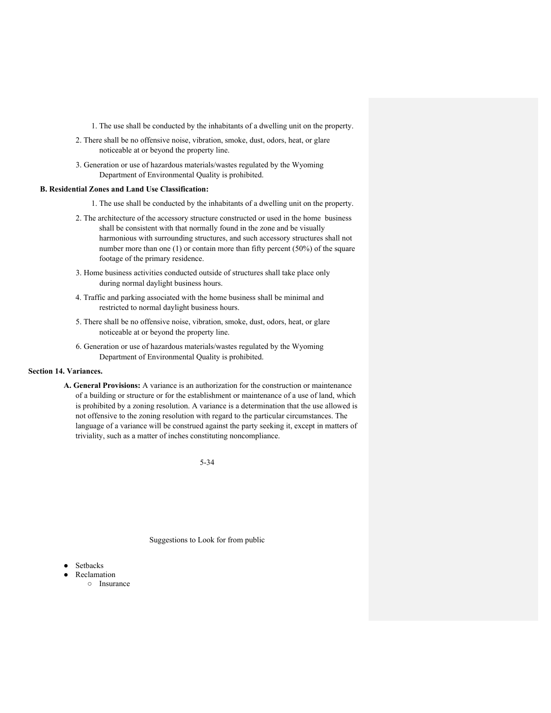1. The use shall be conducted by the inhabitants of a dwelling unit on the property.

- 2. There shall be no offensive noise, vibration, smoke, dust, odors, heat, or glare noticeable at or beyond the property line.
- 3. Generation or use of hazardous materials/wastes regulated by the Wyoming Department of Environmental Quality is prohibited.

### **B. Residential Zones and Land Use Classification:**

- 1. The use shall be conducted by the inhabitants of a dwelling unit on the property.
- 2. The architecture of the accessory structure constructed or used in the home business shall be consistent with that normally found in the zone and be visually harmonious with surrounding structures, and such accessory structures shall not number more than one (1) or contain more than fifty percent (50%) of the square footage of the primary residence.
- 3. Home business activities conducted outside of structures shall take place only during normal daylight business hours.
- 4. Traffic and parking associated with the home business shall be minimal and restricted to normal daylight business hours.
- 5. There shall be no offensive noise, vibration, smoke, dust, odors, heat, or glare noticeable at or beyond the property line.
- 6. Generation or use of hazardous materials/wastes regulated by the Wyoming Department of Environmental Quality is prohibited.

## **Section 14. Variances.**

**A. General Provisions:** A variance is an authorization for the construction or maintenance of a building or structure or for the establishment or maintenance of a use of land, which is prohibited by a zoning resolution. A variance is a determination that the use allowed is not offensive to the zoning resolution with regard to the particular circumstances. The language of a variance will be construed against the party seeking it, except in matters of triviality, such as a matter of inches constituting noncompliance.

5-34

Suggestions to Look for from public

- Setbacks
	- **Reclamation**
	- Insurance